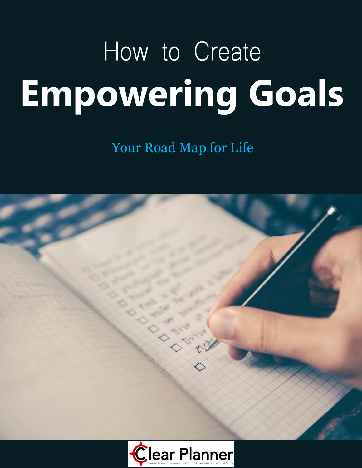# How to Create **Empowering Goals**

Your Road Map for Life

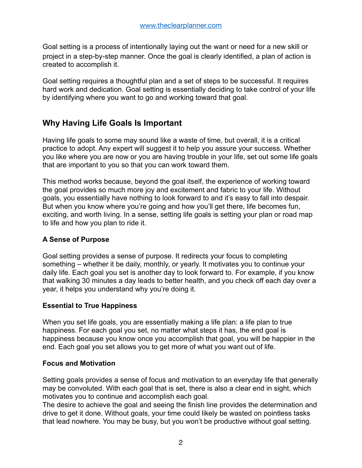Goal setting is a process of intentionally laying out the want or need for a new skill or project in a step-by-step manner. Once the goal is clearly identified, a plan of action is created to accomplish it.

Goal setting requires a thoughtful plan and a set of steps to be successful. It requires hard work and dedication. Goal setting is essentially deciding to take control of your life by identifying where you want to go and working toward that goal.

# **Why Having Life Goals Is Important**

Having life goals to some may sound like a waste of time, but overall, it is a critical practice to adopt. Any expert will suggest it to help you assure your success. Whether you like where you are now or you are having trouble in your life, set out some life goals that are important to you so that you can work toward them.

This method works because, beyond the goal itself, the experience of working toward the goal provides so much more joy and excitement and fabric to your life. Without goals, you essentially have nothing to look forward to and it's easy to fall into despair. But when you know where you're going and how you'll get there, life becomes fun, exciting, and worth living. In a sense, setting life goals is setting your plan or road map to life and how you plan to ride it.

#### **A Sense of Purpose**

Goal setting provides a sense of purpose. It redirects your focus to completing something – whether it be daily, monthly, or yearly. It motivates you to continue your daily life. Each goal you set is another day to look forward to. For example, if you know that walking 30 minutes a day leads to better health, and you check off each day over a year, it helps you understand why you're doing it.

#### **Essential to True Happiness**

When you set life goals, you are essentially making a life plan: a life plan to true happiness. For each goal you set, no matter what steps it has, the end goal is happiness because you know once you accomplish that goal, you will be happier in the end. Each goal you set allows you to get more of what you want out of life.

#### **Focus and Motivation**

Setting goals provides a sense of focus and motivation to an everyday life that generally may be convoluted. With each goal that is set, there is also a clear end in sight, which motivates you to continue and accomplish each goal.

The desire to achieve the goal and seeing the finish line provides the determination and drive to get it done. Without goals, your time could likely be wasted on pointless tasks that lead nowhere. You may be busy, but you won't be productive without goal setting.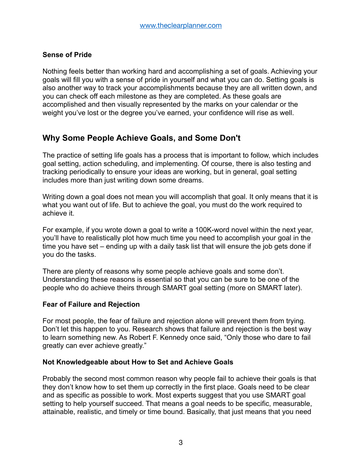#### **Sense of Pride**

Nothing feels better than working hard and accomplishing a set of goals. Achieving your goals will fill you with a sense of pride in yourself and what you can do. Setting goals is also another way to track your accomplishments because they are all written down, and you can check off each milestone as they are completed. As these goals are accomplished and then visually represented by the marks on your calendar or the weight you've lost or the degree you've earned, your confidence will rise as well.

# **Why Some People Achieve Goals, and Some Don't**

The practice of setting life goals has a process that is important to follow, which includes goal setting, action scheduling, and implementing. Of course, there is also testing and tracking periodically to ensure your ideas are working, but in general, goal setting includes more than just writing down some dreams.

Writing down a goal does not mean you will accomplish that goal. It only means that it is what you want out of life. But to achieve the goal, you must do the work required to achieve it.

For example, if you wrote down a goal to write a 100K-word novel within the next year, you'll have to realistically plot how much time you need to accomplish your goal in the time you have set – ending up with a daily task list that will ensure the job gets done if you do the tasks.

There are plenty of reasons why some people achieve goals and some don't. Understanding these reasons is essential so that you can be sure to be one of the people who do achieve theirs through SMART goal setting (more on SMART later).

#### **Fear of Failure and Rejection**

For most people, the fear of failure and rejection alone will prevent them from trying. Don't let this happen to you. Research shows that failure and rejection is the best way to learn something new. As Robert F. Kennedy once said, "Only those who dare to fail greatly can ever achieve greatly."

#### **Not Knowledgeable about How to Set and Achieve Goals**

Probably the second most common reason why people fail to achieve their goals is that they don't know how to set them up correctly in the first place. Goals need to be clear and as specific as possible to work. Most experts suggest that you use SMART goal setting to help yourself succeed. That means a goal needs to be specific, measurable, attainable, realistic, and timely or time bound. Basically, that just means that you need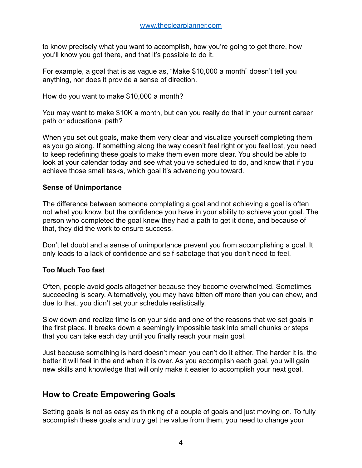to know precisely what you want to accomplish, how you're going to get there, how you'll know you got there, and that it's possible to do it.

For example, a goal that is as vague as, "Make \$10,000 a month" doesn't tell you anything, nor does it provide a sense of direction.

How do you want to make \$10,000 a month?

You may want to make \$10K a month, but can you really do that in your current career path or educational path?

When you set out goals, make them very clear and visualize yourself completing them as you go along. If something along the way doesn't feel right or you feel lost, you need to keep redefining these goals to make them even more clear. You should be able to look at your calendar today and see what you've scheduled to do, and know that if you achieve those small tasks, which goal it's advancing you toward.

#### **Sense of Unimportance**

The difference between someone completing a goal and not achieving a goal is often not what you know, but the confidence you have in your ability to achieve your goal. The person who completed the goal knew they had a path to get it done, and because of that, they did the work to ensure success.

Don't let doubt and a sense of unimportance prevent you from accomplishing a goal. It only leads to a lack of confidence and self-sabotage that you don't need to feel.

#### **Too Much Too fast**

Often, people avoid goals altogether because they become overwhelmed. Sometimes succeeding is scary. Alternatively, you may have bitten off more than you can chew, and due to that, you didn't set your schedule realistically.

Slow down and realize time is on your side and one of the reasons that we set goals in the first place. It breaks down a seemingly impossible task into small chunks or steps that you can take each day until you finally reach your main goal.

Just because something is hard doesn't mean you can't do it either. The harder it is, the better it will feel in the end when it is over. As you accomplish each goal, you will gain new skills and knowledge that will only make it easier to accomplish your next goal.

## **How to Create Empowering Goals**

Setting goals is not as easy as thinking of a couple of goals and just moving on. To fully accomplish these goals and truly get the value from them, you need to change your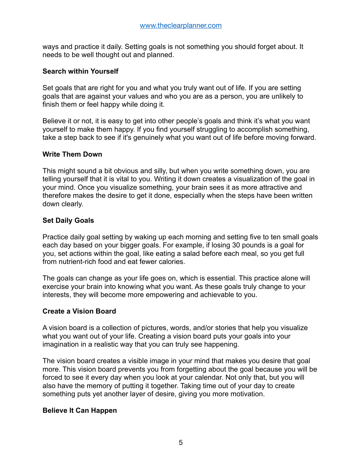ways and practice it daily. Setting goals is not something you should forget about. It needs to be well thought out and planned.

#### **Search within Yourself**

Set goals that are right for you and what you truly want out of life. If you are setting goals that are against your values and who you are as a person, you are unlikely to finish them or feel happy while doing it.

Believe it or not, it is easy to get into other people's goals and think it's what you want yourself to make them happy. If you find yourself struggling to accomplish something, take a step back to see if it's genuinely what you want out of life before moving forward.

#### **Write Them Down**

This might sound a bit obvious and silly, but when you write something down, you are telling yourself that it is vital to you. Writing it down creates a visualization of the goal in your mind. Once you visualize something, your brain sees it as more attractive and therefore makes the desire to get it done, especially when the steps have been written down clearly.

## **Set Daily Goals**

Practice daily goal setting by waking up each morning and setting five to ten small goals each day based on your bigger goals. For example, if losing 30 pounds is a goal for you, set actions within the goal, like eating a salad before each meal, so you get full from nutrient-rich food and eat fewer calories.

The goals can change as your life goes on, which is essential. This practice alone will exercise your brain into knowing what you want. As these goals truly change to your interests, they will become more empowering and achievable to you.

## **Create a Vision Board**

A vision board is a collection of pictures, words, and/or stories that help you visualize what you want out of your life. Creating a vision board puts your goals into your imagination in a realistic way that you can truly see happening.

The vision board creates a visible image in your mind that makes you desire that goal more. This vision board prevents you from forgetting about the goal because you will be forced to see it every day when you look at your calendar. Not only that, but you will also have the memory of putting it together. Taking time out of your day to create something puts yet another layer of desire, giving you more motivation.

#### **Believe It Can Happen**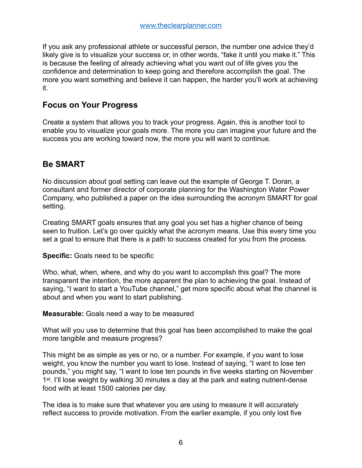If you ask any professional athlete or successful person, the number one advice they'd likely give is to visualize your success or, in other words, "fake it until you make it." This is because the feeling of already achieving what you want out of life gives you the confidence and determination to keep going and therefore accomplish the goal. The more you want something and believe it can happen, the harder you'll work at achieving it.

## **Focus on Your Progress**

Create a system that allows you to track your progress. Again, this is another tool to enable you to visualize your goals more. The more you can imagine your future and the success you are working toward now, the more you will want to continue.

# **Be SMART**

No discussion about goal setting can leave out the example of George T. Doran, a consultant and former director of corporate planning for the Washington Water Power Company, who published a paper on the idea surrounding the acronym SMART for goal setting.

Creating SMART goals ensures that any goal you set has a higher chance of being seen to fruition. Let's go over quickly what the acronym means. Use this every time you set a goal to ensure that there is a path to success created for you from the process.

**Specific:** Goals need to be specific

Who, what, when, where, and why do you want to accomplish this goal? The more transparent the intention, the more apparent the plan to achieving the goal. Instead of saying, "I want to start a YouTube channel," get more specific about what the channel is about and when you want to start publishing.

**Measurable:** Goals need a way to be measured

What will you use to determine that this goal has been accomplished to make the goal more tangible and measure progress?

This might be as simple as yes or no, or a number. For example, if you want to lose weight, you know the number you want to lose. Instead of saying, "I want to lose ten pounds," you might say, "I want to lose ten pounds in five weeks starting on November 1<sup>st</sup>. I'll lose weight by walking 30 minutes a day at the park and eating nutrient-dense food with at least 1500 calories per day.

The idea is to make sure that whatever you are using to measure it will accurately reflect success to provide motivation. From the earlier example, if you only lost five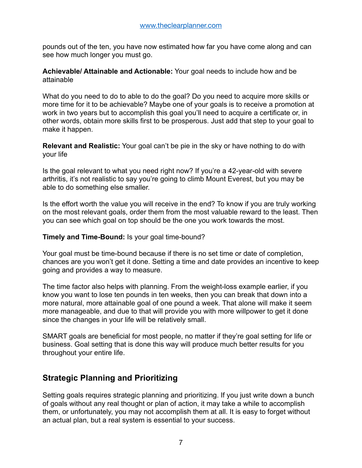pounds out of the ten, you have now estimated how far you have come along and can see how much longer you must go.

**Achievable/ Attainable and Actionable:** Your goal needs to include how and be attainable

What do you need to do to able to do the goal? Do you need to acquire more skills or more time for it to be achievable? Maybe one of your goals is to receive a promotion at work in two years but to accomplish this goal you'll need to acquire a certificate or, in other words, obtain more skills first to be prosperous. Just add that step to your goal to make it happen.

**Relevant and Realistic:** Your goal can't be pie in the sky or have nothing to do with your life

Is the goal relevant to what you need right now? If you're a 42-year-old with severe arthritis, it's not realistic to say you're going to climb Mount Everest, but you may be able to do something else smaller.

Is the effort worth the value you will receive in the end? To know if you are truly working on the most relevant goals, order them from the most valuable reward to the least. Then you can see which goal on top should be the one you work towards the most.

#### **Timely and Time-Bound:** Is your goal time-bound?

Your goal must be time-bound because if there is no set time or date of completion, chances are you won't get it done. Setting a time and date provides an incentive to keep going and provides a way to measure.

The time factor also helps with planning. From the weight-loss example earlier, if you know you want to lose ten pounds in ten weeks, then you can break that down into a more natural, more attainable goal of one pound a week. That alone will make it seem more manageable, and due to that will provide you with more willpower to get it done since the changes in your life will be relatively small.

SMART goals are beneficial for most people, no matter if they're goal setting for life or business. Goal setting that is done this way will produce much better results for you throughout your entire life.

# **Strategic Planning and Prioritizing**

Setting goals requires strategic planning and prioritizing. If you just write down a bunch of goals without any real thought or plan of action, it may take a while to accomplish them, or unfortunately, you may not accomplish them at all. It is easy to forget without an actual plan, but a real system is essential to your success.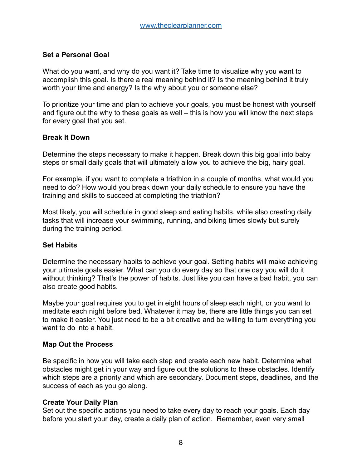#### **Set a Personal Goal**

What do you want, and why do you want it? Take time to visualize why you want to accomplish this goal. Is there a real meaning behind it? Is the meaning behind it truly worth your time and energy? Is the why about you or someone else?

To prioritize your time and plan to achieve your goals, you must be honest with yourself and figure out the why to these goals as well – this is how you will know the next steps for every goal that you set.

#### **Break It Down**

Determine the steps necessary to make it happen. Break down this big goal into baby steps or small daily goals that will ultimately allow you to achieve the big, hairy goal.

For example, if you want to complete a triathlon in a couple of months, what would you need to do? How would you break down your daily schedule to ensure you have the training and skills to succeed at completing the triathlon?

Most likely, you will schedule in good sleep and eating habits, while also creating daily tasks that will increase your swimming, running, and biking times slowly but surely during the training period.

#### **Set Habits**

Determine the necessary habits to achieve your goal. Setting habits will make achieving your ultimate goals easier. What can you do every day so that one day you will do it without thinking? That's the power of habits. Just like you can have a bad habit, you can also create good habits.

Maybe your goal requires you to get in eight hours of sleep each night, or you want to meditate each night before bed. Whatever it may be, there are little things you can set to make it easier. You just need to be a bit creative and be willing to turn everything you want to do into a habit.

#### **Map Out the Process**

Be specific in how you will take each step and create each new habit. Determine what obstacles might get in your way and figure out the solutions to these obstacles. Identify which steps are a priority and which are secondary. Document steps, deadlines, and the success of each as you go along.

#### **Create Your Daily Plan**

Set out the specific actions you need to take every day to reach your goals. Each day before you start your day, create a daily plan of action. Remember, even very small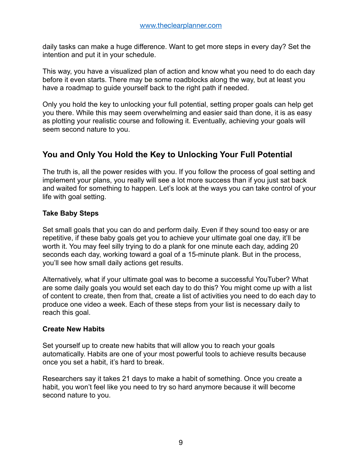daily tasks can make a huge difference. Want to get more steps in every day? Set the intention and put it in your schedule.

This way, you have a visualized plan of action and know what you need to do each day before it even starts. There may be some roadblocks along the way, but at least you have a roadmap to guide yourself back to the right path if needed.

Only you hold the key to unlocking your full potential, setting proper goals can help get you there. While this may seem overwhelming and easier said than done, it is as easy as plotting your realistic course and following it. Eventually, achieving your goals will seem second nature to you.

# **You and Only You Hold the Key to Unlocking Your Full Potential**

The truth is, all the power resides with you. If you follow the process of goal setting and implement your plans, you really will see a lot more success than if you just sat back and waited for something to happen. Let's look at the ways you can take control of your life with goal setting.

## **Take Baby Steps**

Set small goals that you can do and perform daily. Even if they sound too easy or are repetitive, if these baby goals get you to achieve your ultimate goal one day, it'll be worth it. You may feel silly trying to do a plank for one minute each day, adding 20 seconds each day, working toward a goal of a 15-minute plank. But in the process, you'll see how small daily actions get results.

Alternatively, what if your ultimate goal was to become a successful YouTuber? What are some daily goals you would set each day to do this? You might come up with a list of content to create, then from that, create a list of activities you need to do each day to produce one video a week. Each of these steps from your list is necessary daily to reach this goal.

## **Create New Habits**

Set yourself up to create new habits that will allow you to reach your goals automatically. Habits are one of your most powerful tools to achieve results because once you set a habit, it's hard to break.

Researchers say it takes 21 days to make a habit of something. Once you create a habit, you won't feel like you need to try so hard anymore because it will become second nature to you.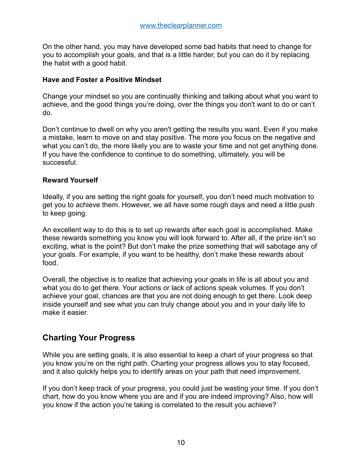On the other hand, you may have developed some bad habits that need to change for you to accomplish your goals, and that is a little harder, but you can do it by replacing the habit with a good habit.

#### **Have and Foster a Positive Mindset**

Change your mindset so you are continually thinking and talking about what you want to achieve, and the good things you're doing, over the things you don't want to do or can't do.

Don't continue to dwell on why you aren't getting the results you want. Even if you make a mistake, learn to move on and stay positive. The more you focus on the negative and what you can't do, the more likely you are to waste your time and not get anything done. If you have the confidence to continue to do something, ultimately, you will be successful.

#### **Reward Yourself**

Ideally, if you are setting the right goals for yourself, you don't need much motivation to get you to achieve them. However, we all have some rough days and need a little push to keep going.

An excellent way to do this is to set up rewards after each goal is accomplished. Make these rewards something you know you will look forward to. After all, if the prize isn't so exciting, what is the point? But don't make the prize something that will sabotage any of your goals. For example, if you want to be healthy, don't make these rewards about food.

Overall, the objective is to realize that achieving your goals in life is all about you and what you do to get there. Your actions or lack of actions speak volumes. If you don't achieve your goal, chances are that you are not doing enough to get there. Look deep inside yourself and see what you can truly change about you and in your daily life to make it easier.

# **Charting Your Progress**

While you are setting goals, it is also essential to keep a chart of your progress so that you know you're on the right path. Charting your progress allows you to stay focused, and it also quickly helps you to identify areas on your path that need improvement.

If you don't keep track of your progress, you could just be wasting your time. If you don't chart, how do you know where you are and if you are indeed improving? Also, how will you know if the action you're taking is correlated to the result you achieve?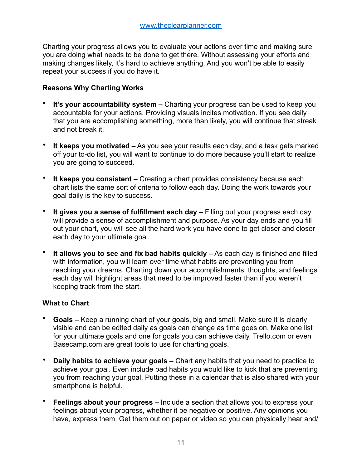Charting your progress allows you to evaluate your actions over time and making sure you are doing what needs to be done to get there. Without assessing your efforts and making changes likely, it's hard to achieve anything. And you won't be able to easily repeat your success if you do have it.

#### **Reasons Why Charting Works**

- **It's your accountability system –** Charting your progress can be used to keep you accountable for your actions. Providing visuals incites motivation. If you see daily that you are accomplishing something, more than likely, you will continue that streak and not break it.
- **It keeps you motivated –** As you see your results each day, and a task gets marked off your to-do list, you will want to continue to do more because you'll start to realize you are going to succeed.
- **It keeps you consistent –** Creating a chart provides consistency because each chart lists the same sort of criteria to follow each day. Doing the work towards your goal daily is the key to success.
- **It gives you a sense of fulfillment each day –** Filling out your progress each day will provide a sense of accomplishment and purpose. As your day ends and you fill out your chart, you will see all the hard work you have done to get closer and closer each day to your ultimate goal.
- **It allows you to see and fix bad habits quickly –** As each day is finished and filled with information, you will learn over time what habits are preventing you from reaching your dreams. Charting down your accomplishments, thoughts, and feelings each day will highlight areas that need to be improved faster than if you weren't keeping track from the start.

#### **What to Chart**

- **Goals –** Keep a running chart of your goals, big and small. Make sure it is clearly visible and can be edited daily as goals can change as time goes on. Make one list for your ultimate goals and one for goals you can achieve daily. Trello.com or even Basecamp.com are great tools to use for charting goals.
- **Daily habits to achieve your goals** Chart any habits that you need to practice to achieve your goal. Even include bad habits you would like to kick that are preventing you from reaching your goal. Putting these in a calendar that is also shared with your smartphone is helpful.
- **Feelings about your progress –** Include a section that allows you to express your feelings about your progress, whether it be negative or positive. Any opinions you have, express them. Get them out on paper or video so you can physically hear and/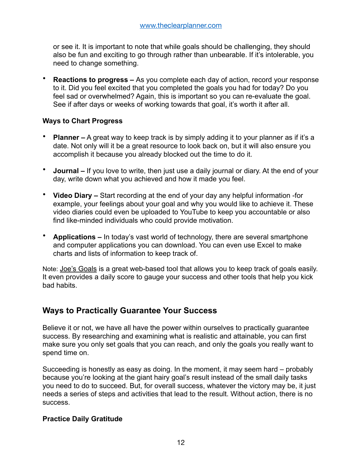or see it. It is important to note that while goals should be challenging, they should also be fun and exciting to go through rather than unbearable. If it's intolerable, you need to change something.

• **Reactions to progress –** As you complete each day of action, record your response to it. Did you feel excited that you completed the goals you had for today? Do you feel sad or overwhelmed? Again, this is important so you can re-evaluate the goal. See if after days or weeks of working towards that goal, it's worth it after all.

#### **Ways to Chart Progress**

- **Planner –** A great way to keep track is by simply adding it to your planner as if it's a date. Not only will it be a great resource to look back on, but it will also ensure you accomplish it because you already blocked out the time to do it.
- **Journal –** If you love to write, then just use a daily journal or diary. At the end of your day, write down what you achieved and how it made you feel.
- **Video Diary –** Start recording at the end of your day any helpful information -for example, your feelings about your goal and why you would like to achieve it. These video diaries could even be uploaded to YouTube to keep you accountable or also find like-minded individuals who could provide motivation.
- **Applications –** In today's vast world of technology, there are several smartphone and computer applications you can download. You can even use Excel to make charts and lists of information to keep track of.

Note: [Joe's Goals](http://www.joesgoals.com/) is a great web-based tool that allows you to keep track of goals easily. It even provides a daily score to gauge your success and other tools that help you kick bad habits.

# **Ways to Practically Guarantee Your Success**

Believe it or not, we have all have the power within ourselves to practically guarantee success. By researching and examining what is realistic and attainable, you can first make sure you only set goals that you can reach, and only the goals you really want to spend time on.

Succeeding is honestly as easy as doing. In the moment, it may seem hard – probably because you're looking at the giant hairy goal's result instead of the small daily tasks you need to do to succeed. But, for overall success, whatever the victory may be, it just needs a series of steps and activities that lead to the result. Without action, there is no success.

#### **Practice Daily Gratitude**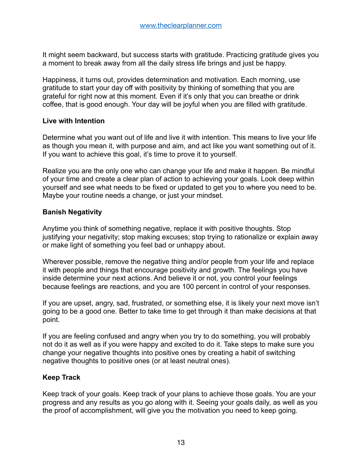It might seem backward, but success starts with gratitude. Practicing gratitude gives you a moment to break away from all the daily stress life brings and just be happy.

Happiness, it turns out, provides determination and motivation. Each morning, use gratitude to start your day off with positivity by thinking of something that you are grateful for right now at this moment. Even if it's only that you can breathe or drink coffee, that is good enough. Your day will be joyful when you are filled with gratitude.

#### **Live with Intention**

Determine what you want out of life and live it with intention. This means to live your life as though you mean it, with purpose and aim, and act like you want something out of it. If you want to achieve this goal, it's time to prove it to yourself.

Realize you are the only one who can change your life and make it happen. Be mindful of your time and create a clear plan of action to achieving your goals. Look deep within yourself and see what needs to be fixed or updated to get you to where you need to be. Maybe your routine needs a change, or just your mindset.

## **Banish Negativity**

Anytime you think of something negative, replace it with positive thoughts. Stop justifying your negativity; stop making excuses; stop trying to rationalize or explain away or make light of something you feel bad or unhappy about.

Wherever possible, remove the negative thing and/or people from your life and replace it with people and things that encourage positivity and growth. The feelings you have inside determine your next actions. And believe it or not, you control your feelings because feelings are reactions, and you are 100 percent in control of your responses.

If you are upset, angry, sad, frustrated, or something else, it is likely your next move isn't going to be a good one. Better to take time to get through it than make decisions at that point.

If you are feeling confused and angry when you try to do something, you will probably not do it as well as if you were happy and excited to do it. Take steps to make sure you change your negative thoughts into positive ones by creating a habit of switching negative thoughts to positive ones (or at least neutral ones).

#### **Keep Track**

Keep track of your goals. Keep track of your plans to achieve those goals. You are your progress and any results as you go along with it. Seeing your goals daily, as well as you the proof of accomplishment, will give you the motivation you need to keep going.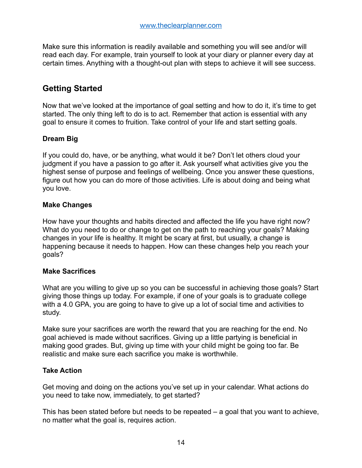Make sure this information is readily available and something you will see and/or will read each day. For example, train yourself to look at your diary or planner every day at certain times. Anything with a thought-out plan with steps to achieve it will see success.

# **Getting Started**

Now that we've looked at the importance of goal setting and how to do it, it's time to get started. The only thing left to do is to act. Remember that action is essential with any goal to ensure it comes to fruition. Take control of your life and start setting goals.

## **Dream Big**

If you could do, have, or be anything, what would it be? Don't let others cloud your judgment if you have a passion to go after it. Ask yourself what activities give you the highest sense of purpose and feelings of wellbeing. Once you answer these questions, figure out how you can do more of those activities. Life is about doing and being what you love.

## **Make Changes**

How have your thoughts and habits directed and affected the life you have right now? What do you need to do or change to get on the path to reaching your goals? Making changes in your life is healthy. It might be scary at first, but usually, a change is happening because it needs to happen. How can these changes help you reach your goals?

## **Make Sacrifices**

What are you willing to give up so you can be successful in achieving those goals? Start giving those things up today. For example, if one of your goals is to graduate college with a 4.0 GPA, you are going to have to give up a lot of social time and activities to study.

Make sure your sacrifices are worth the reward that you are reaching for the end. No goal achieved is made without sacrifices. Giving up a little partying is beneficial in making good grades. But, giving up time with your child might be going too far. Be realistic and make sure each sacrifice you make is worthwhile.

## **Take Action**

Get moving and doing on the actions you've set up in your calendar. What actions do you need to take now, immediately, to get started?

This has been stated before but needs to be repeated – a goal that you want to achieve, no matter what the goal is, requires action.